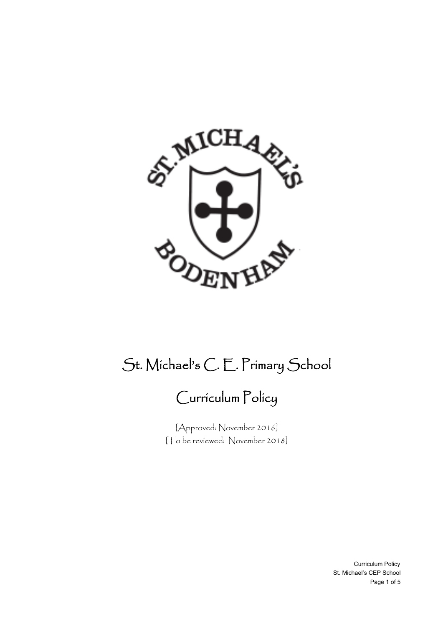

# St. Michael's C. E. Primary School

## Curriculum Policy

[Approved: November 2016] [To be reviewed: November 2018]

> Curriculum Policy St. Michael's CEP School Page 1 of 5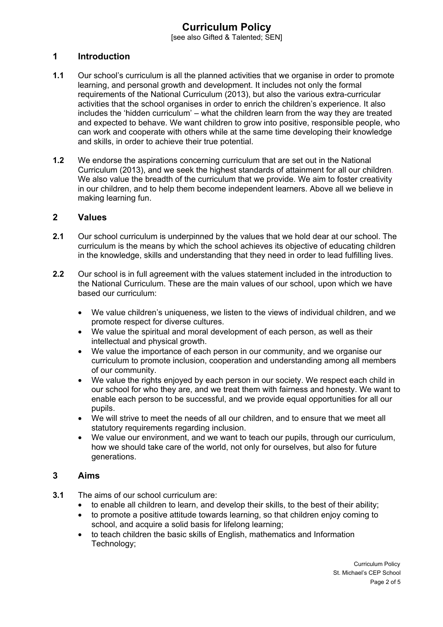### **Curriculum Policy**

[see also Gifted & Talented: SEN]

#### **1 Introduction**

- **1.1** Our school's curriculum is all the planned activities that we organise in order to promote learning, and personal growth and development. It includes not only the formal requirements of the National Curriculum (2013), but also the various extra-curricular activities that the school organises in order to enrich the children's experience. It also includes the 'hidden curriculum' – what the children learn from the way they are treated and expected to behave. We want children to grow into positive, responsible people, who can work and cooperate with others while at the same time developing their knowledge and skills, in order to achieve their true potential.
- **1.2** We endorse the aspirations concerning curriculum that are set out in the National Curriculum (2013), and we seek the highest standards of attainment for all our children. We also value the breadth of the curriculum that we provide. We aim to foster creativity in our children, and to help them become independent learners. Above all we believe in making learning fun.

#### **2 Values**

- **2.1** Our school curriculum is underpinned by the values that we hold dear at our school. The curriculum is the means by which the school achieves its objective of educating children in the knowledge, skills and understanding that they need in order to lead fulfilling lives.
- **2.2** Our school is in full agreement with the values statement included in the introduction to the National Curriculum. These are the main values of our school, upon which we have based our curriculum:
	- We value children's uniqueness, we listen to the views of individual children, and we promote respect for diverse cultures.
	- We value the spiritual and moral development of each person, as well as their intellectual and physical growth.
	- We value the importance of each person in our community, and we organise our curriculum to promote inclusion, cooperation and understanding among all members of our community.
	- We value the rights enjoved by each person in our society. We respect each child in our school for who they are, and we treat them with fairness and honesty. We want to enable each person to be successful, and we provide equal opportunities for all our pupils.
	- We will strive to meet the needs of all our children, and to ensure that we meet all statutory requirements regarding inclusion.
	- We value our environment, and we want to teach our pupils, through our curriculum, how we should take care of the world, not only for ourselves, but also for future generations.

#### **3 Aims**

- **3.1** The aims of our school curriculum are:
	- to enable all children to learn, and develop their skills, to the best of their ability;
	- to promote a positive attitude towards learning, so that children enjoy coming to school, and acquire a solid basis for lifelong learning;
	- to teach children the basic skills of English, mathematics and Information Technology;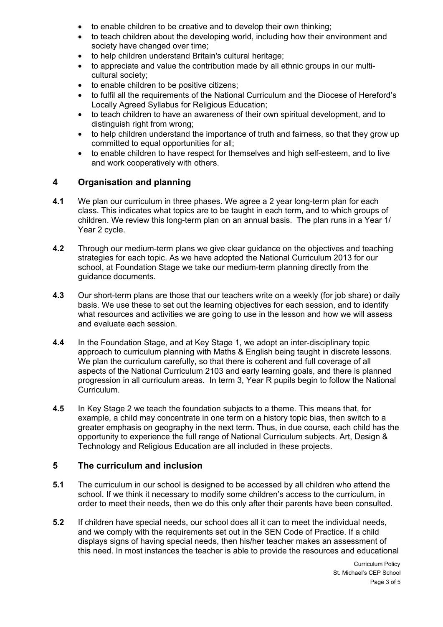- to enable children to be creative and to develop their own thinking;
- to teach children about the developing world, including how their environment and society have changed over time:
- to help children understand Britain's cultural heritage;
- to appreciate and value the contribution made by all ethnic groups in our multicultural society;
- to enable children to be positive citizens;
- to fulfil all the requirements of the National Curriculum and the Diocese of Hereford's Locally Agreed Syllabus for Religious Education;
- to teach children to have an awareness of their own spiritual development, and to distinguish right from wrong;
- to help children understand the importance of truth and fairness, so that they grow up committed to equal opportunities for all;
- to enable children to have respect for themselves and high self-esteem, and to live and work cooperatively with others.

#### **4 Organisation and planning**

- **4.1** We plan our curriculum in three phases. We agree a 2 year long-term plan for each class. This indicates what topics are to be taught in each term, and to which groups of children. We review this long-term plan on an annual basis. The plan runs in a Year 1/ Year 2 cycle.
- **4.2** Through our medium-term plans we give clear guidance on the objectives and teaching strategies for each topic. As we have adopted the National Curriculum 2013 for our school, at Foundation Stage we take our medium-term planning directly from the guidance documents.
- **4.3** Our short-term plans are those that our teachers write on a weekly (for job share) or daily basis. We use these to set out the learning objectives for each session, and to identify what resources and activities we are going to use in the lesson and how we will assess and evaluate each session.
- **4.4** In the Foundation Stage, and at Key Stage 1, we adopt an inter-disciplinary topic approach to curriculum planning with Maths & English being taught in discrete lessons. We plan the curriculum carefully, so that there is coherent and full coverage of all aspects of the National Curriculum 2103 and early learning goals, and there is planned progression in all curriculum areas. In term 3, Year R pupils begin to follow the National Curriculum.
- **4.5** In Key Stage 2 we teach the foundation subjects to a theme. This means that, for example, a child may concentrate in one term on a history topic bias, then switch to a greater emphasis on geography in the next term. Thus, in due course, each child has the opportunity to experience the full range of National Curriculum subjects. Art, Design & Technology and Religious Education are all included in these projects.

#### **5 The curriculum and inclusion**

- **5.1** The curriculum in our school is designed to be accessed by all children who attend the school. If we think it necessary to modify some children's access to the curriculum, in order to meet their needs, then we do this only after their parents have been consulted.
- **5.2** If children have special needs, our school does all it can to meet the individual needs, and we comply with the requirements set out in the SEN Code of Practice. If a child displays signs of having special needs, then his/her teacher makes an assessment of this need. In most instances the teacher is able to provide the resources and educational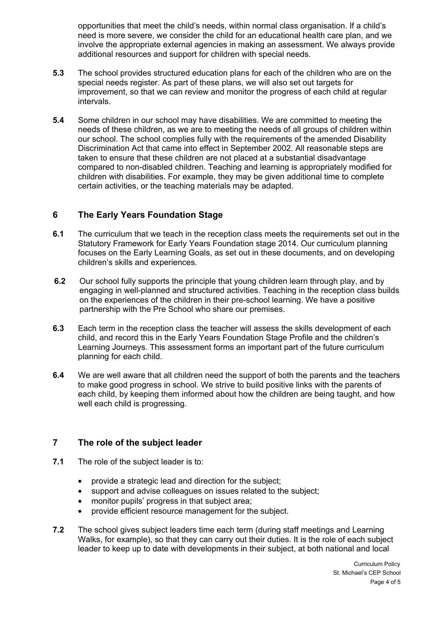opportunities that meet the child's needs, within normal class organisation. If a child's need is more severe, we consider the child for an educational health care plan, and we involve the appropriate external agencies in making an assessment. We always provide additional resources and support for children with special needs.

- **5.3** The school provides structured education plans for each of the children who are on the special needs register. As part of these plans, we will also set out targets for improvement, so that we can review and monitor the progress of each child at regular intervals.
- **5.4** Some children in our school may have disabilities. We are committed to meeting the needs of these children, as we are to meeting the needs of all groups of children within our school. The school complies fully with the requirements of the amended Disability Discrimination Act that came into effect in September 2002. All reasonable steps are taken to ensure that these children are not placed at a substantial disadvantage compared to non-disabled children. Teaching and learning is appropriately modified for children with disabilities. For example, they may be given additional time to complete certain activities, or the teaching materials may be adapted.

### **6 The Early Years Foundation Stage**

- **6.1** The curriculum that we teach in the reception class meets the requirements set out in the Statutory Framework for Early Years Foundation stage 2014. Our curriculum planning focuses on the Early Learning Goals, as set out in these documents, and on developing children's skills and experiences.
- **6.2** Our school fully supports the principle that young children learn through play, and by engaging in well-planned and structured activities. Teaching in the reception class builds on the experiences of the children in their pre-school learning. We have a positive partnership with the Pre School who share our premises.
- **6.3** Each term in the reception class the teacher will assess the skills development of each child, and record this in the Early Years Foundation Stage Profile and the children's Learning Journeys. This assessment forms an important part of the future curriculum planning for each child.
- **6.4** We are well aware that all children need the support of both the parents and the teachers to make good progress in school. We strive to build positive links with the parents of each child, by keeping them informed about how the children are being taught, and how well each child is progressing.

#### **7 The role of the subject leader**

- **7.1** The role of the subject leader is to:
	- provide a strategic lead and direction for the subject;
	- support and advise colleagues on issues related to the subject;
	- monitor pupils' progress in that subject area;
	- provide efficient resource management for the subject.
- **7.2** The school gives subject leaders time each term (during staff meetings and Learning Walks, for example), so that they can carry out their duties. It is the role of each subject leader to keep up to date with developments in their subject, at both national and local